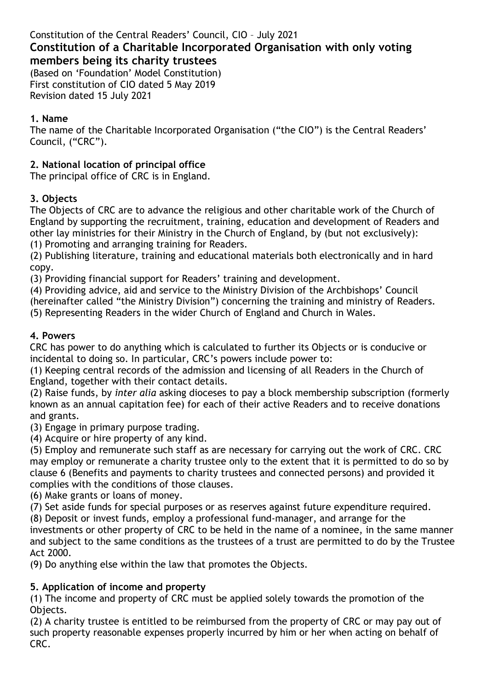#### Constitution of the Central Readers' Council, CIO – July 2021 **Constitution of a Charitable Incorporated Organisation with only voting**

# **members being its charity trustees**

(Based on 'Foundation' Model Constitution) First constitution of CIO dated 5 May 2019 Revision dated 15 July 2021

# **1. Name**

The name of the Charitable Incorporated Organisation ("the CIO") is the Central Readers' Council, ("CRC").

#### **2. National location of principal office**

The principal office of CRC is in England.

#### **3. Objects**

The Objects of CRC are to advance the religious and other charitable work of the Church of England by supporting the recruitment, training, education and development of Readers and other lay ministries for their Ministry in the Church of England, by (but not exclusively): (1) Promoting and arranging training for Readers.

(2) Publishing literature, training and educational materials both electronically and in hard copy.

(3) Providing financial support for Readers' training and development.

(4) Providing advice, aid and service to the Ministry Division of the Archbishops' Council (hereinafter called "the Ministry Division") concerning the training and ministry of Readers. (5) Representing Readers in the wider Church of England and Church in Wales.

#### **4. Powers**

CRC has power to do anything which is calculated to further its Objects or is conducive or incidental to doing so. In particular, CRC's powers include power to:

(1) Keeping central records of the admission and licensing of all Readers in the Church of England, together with their contact details.

(2) Raise funds, by *inter alia* asking dioceses to pay a block membership subscription (formerly known as an annual capitation fee) for each of their active Readers and to receive donations and grants.

(3) Engage in primary purpose trading.

(4) Acquire or hire property of any kind.

(5) Employ and remunerate such staff as are necessary for carrying out the work of CRC. CRC may employ or remunerate a charity trustee only to the extent that it is permitted to do so by clause 6 (Benefits and payments to charity trustees and connected persons) and provided it complies with the conditions of those clauses.

(6) Make grants or loans of money.

(7) Set aside funds for special purposes or as reserves against future expenditure required.

(8) Deposit or invest funds, employ a professional fund-manager, and arrange for the investments or other property of CRC to be held in the name of a nominee, in the same manner and subject to the same conditions as the trustees of a trust are permitted to do by the Trustee Act 2000.

(9) Do anything else within the law that promotes the Objects.

# **5. Application of income and property**

(1) The income and property of CRC must be applied solely towards the promotion of the Objects.

(2) A charity trustee is entitled to be reimbursed from the property of CRC or may pay out of such property reasonable expenses properly incurred by him or her when acting on behalf of CRC.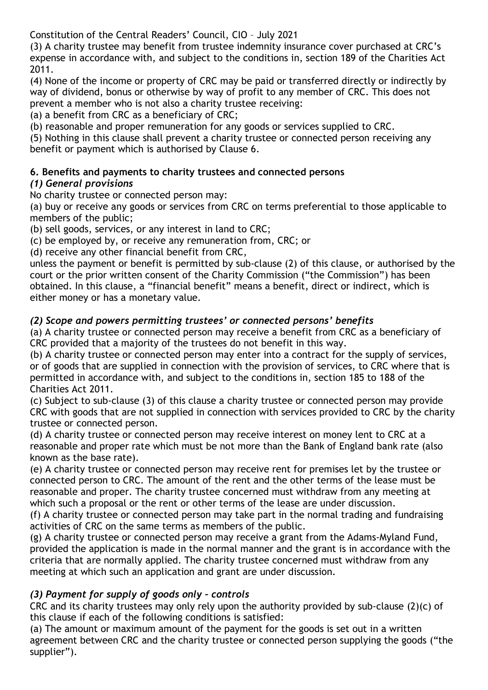(3) A charity trustee may benefit from trustee indemnity insurance cover purchased at CRC's expense in accordance with, and subject to the conditions in, section 189 of the Charities Act 2011.

(4) None of the income or property of CRC may be paid or transferred directly or indirectly by way of dividend, bonus or otherwise by way of profit to any member of CRC. This does not prevent a member who is not also a charity trustee receiving:

(a) a benefit from CRC as a beneficiary of CRC;

(b) reasonable and proper remuneration for any goods or services supplied to CRC.

(5) Nothing in this clause shall prevent a charity trustee or connected person receiving any benefit or payment which is authorised by Clause 6.

# **6. Benefits and payments to charity trustees and connected persons**

# *(1) General provisions*

No charity trustee or connected person may:

(a) buy or receive any goods or services from CRC on terms preferential to those applicable to members of the public;

(b) sell goods, services, or any interest in land to CRC;

(c) be employed by, or receive any remuneration from, CRC; or

(d) receive any other financial benefit from CRC,

unless the payment or benefit is permitted by sub-clause (2) of this clause, or authorised by the court or the prior written consent of the Charity Commission ("the Commission") has been obtained. In this clause, a "financial benefit" means a benefit, direct or indirect, which is either money or has a monetary value.

# *(2) Scope and powers permitting trustees' or connected persons' benefits*

(a) A charity trustee or connected person may receive a benefit from CRC as a beneficiary of CRC provided that a majority of the trustees do not benefit in this way.

(b) A charity trustee or connected person may enter into a contract for the supply of services, or of goods that are supplied in connection with the provision of services, to CRC where that is permitted in accordance with, and subject to the conditions in, section 185 to 188 of the Charities Act 2011.

(c) Subject to sub-clause (3) of this clause a charity trustee or connected person may provide CRC with goods that are not supplied in connection with services provided to CRC by the charity trustee or connected person.

(d) A charity trustee or connected person may receive interest on money lent to CRC at a reasonable and proper rate which must be not more than the Bank of England bank rate (also known as the base rate).

(e) A charity trustee or connected person may receive rent for premises let by the trustee or connected person to CRC. The amount of the rent and the other terms of the lease must be reasonable and proper. The charity trustee concerned must withdraw from any meeting at which such a proposal or the rent or other terms of the lease are under discussion.

(f) A charity trustee or connected person may take part in the normal trading and fundraising activities of CRC on the same terms as members of the public.

(g) A charity trustee or connected person may receive a grant from the Adams-Myland Fund, provided the application is made in the normal manner and the grant is in accordance with the criteria that are normally applied. The charity trustee concerned must withdraw from any meeting at which such an application and grant are under discussion.

#### *(3) Payment for supply of goods only – controls*

CRC and its charity trustees may only rely upon the authority provided by sub-clause (2)(c) of this clause if each of the following conditions is satisfied:

(a) The amount or maximum amount of the payment for the goods is set out in a written agreement between CRC and the charity trustee or connected person supplying the goods ("the supplier").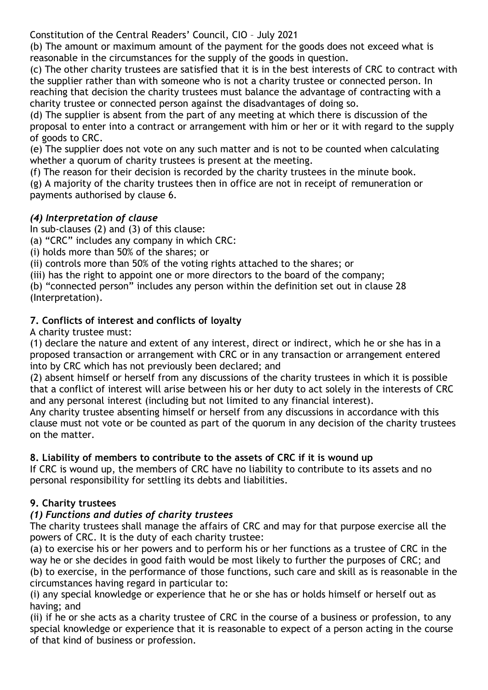(b) The amount or maximum amount of the payment for the goods does not exceed what is reasonable in the circumstances for the supply of the goods in question.

(c) The other charity trustees are satisfied that it is in the best interests of CRC to contract with the supplier rather than with someone who is not a charity trustee or connected person. In reaching that decision the charity trustees must balance the advantage of contracting with a charity trustee or connected person against the disadvantages of doing so.

(d) The supplier is absent from the part of any meeting at which there is discussion of the proposal to enter into a contract or arrangement with him or her or it with regard to the supply of goods to CRC.

(e) The supplier does not vote on any such matter and is not to be counted when calculating whether a quorum of charity trustees is present at the meeting.

(f) The reason for their decision is recorded by the charity trustees in the minute book.

(g) A majority of the charity trustees then in office are not in receipt of remuneration or payments authorised by clause 6.

# *(4) Interpretation of clause*

In sub-clauses (2) and (3) of this clause:

(a) "CRC" includes any company in which CRC:

(i) holds more than 50% of the shares; or

(ii) controls more than 50% of the voting rights attached to the shares; or

(iii) has the right to appoint one or more directors to the board of the company;

(b) "connected person" includes any person within the definition set out in clause 28 (Interpretation).

# **7. Conflicts of interest and conflicts of loyalty**

A charity trustee must:

(1) declare the nature and extent of any interest, direct or indirect, which he or she has in a proposed transaction or arrangement with CRC or in any transaction or arrangement entered into by CRC which has not previously been declared; and

(2) absent himself or herself from any discussions of the charity trustees in which it is possible that a conflict of interest will arise between his or her duty to act solely in the interests of CRC and any personal interest (including but not limited to any financial interest).

Any charity trustee absenting himself or herself from any discussions in accordance with this clause must not vote or be counted as part of the quorum in any decision of the charity trustees on the matter.

# **8. Liability of members to contribute to the assets of CRC if it is wound up**

If CRC is wound up, the members of CRC have no liability to contribute to its assets and no personal responsibility for settling its debts and liabilities.

# **9. Charity trustees**

# *(1) Functions and duties of charity trustees*

The charity trustees shall manage the affairs of CRC and may for that purpose exercise all the powers of CRC. It is the duty of each charity trustee:

(a) to exercise his or her powers and to perform his or her functions as a trustee of CRC in the way he or she decides in good faith would be most likely to further the purposes of CRC; and (b) to exercise, in the performance of those functions, such care and skill as is reasonable in the circumstances having regard in particular to:

(i) any special knowledge or experience that he or she has or holds himself or herself out as having; and

(ii) if he or she acts as a charity trustee of CRC in the course of a business or profession, to any special knowledge or experience that it is reasonable to expect of a person acting in the course of that kind of business or profession.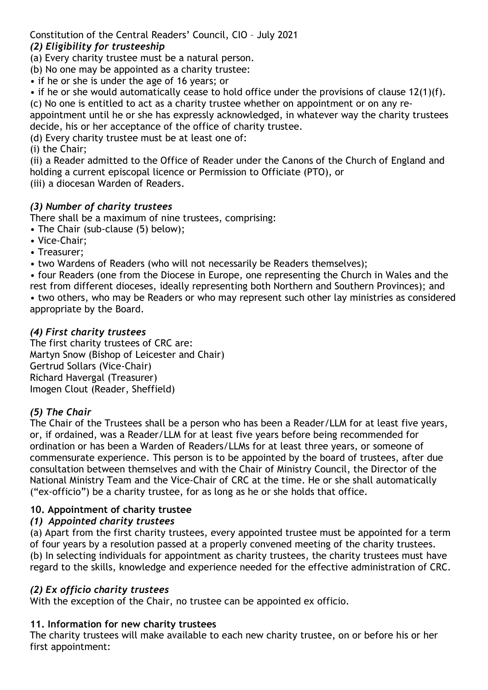#### *(2) Eligibility for trusteeship*

(a) Every charity trustee must be a natural person.

(b) No one may be appointed as a charity trustee:

• if he or she is under the age of 16 years; or

• if he or she would automatically cease to hold office under the provisions of clause 12(1)(f). (c) No one is entitled to act as a charity trustee whether on appointment or on any re-

appointment until he or she has expressly acknowledged, in whatever way the charity trustees decide, his or her acceptance of the office of charity trustee.

(d) Every charity trustee must be at least one of:

(i) the Chair;

(ii) a Reader admitted to the Office of Reader under the Canons of the Church of England and holding a current episcopal licence or Permission to Officiate (PTO), or

(iii) a diocesan Warden of Readers.

# *(3) Number of charity trustees*

There shall be a maximum of nine trustees, comprising:

- The Chair (sub-clause (5) below);
- Vice-Chair;
- Treasurer;

• two Wardens of Readers (who will not necessarily be Readers themselves);

• four Readers (one from the Diocese in Europe, one representing the Church in Wales and the rest from different dioceses, ideally representing both Northern and Southern Provinces); and

• two others, who may be Readers or who may represent such other lay ministries as considered appropriate by the Board.

# *(4) First charity trustees*

The first charity trustees of CRC are: Martyn Snow (Bishop of Leicester and Chair) Gertrud Sollars (Vice-Chair) Richard Havergal (Treasurer) Imogen Clout (Reader, Sheffield)

# *(5) The Chair*

The Chair of the Trustees shall be a person who has been a Reader/LLM for at least five years, or, if ordained, was a Reader/LLM for at least five years before being recommended for ordination or has been a Warden of Readers/LLMs for at least three years, or someone of commensurate experience. This person is to be appointed by the board of trustees, after due consultation between themselves and with the Chair of Ministry Council, the Director of the National Ministry Team and the Vice-Chair of CRC at the time. He or she shall automatically ("ex-officio") be a charity trustee, for as long as he or she holds that office.

# **10. Appointment of charity trustee**

# *(1) Appointed charity trustees*

(a) Apart from the first charity trustees, every appointed trustee must be appointed for a term of four years by a resolution passed at a properly convened meeting of the charity trustees. (b) In selecting individuals for appointment as charity trustees, the charity trustees must have regard to the skills, knowledge and experience needed for the effective administration of CRC.

# *(2) Ex officio charity trustees*

With the exception of the Chair, no trustee can be appointed ex officio.

# **11. Information for new charity trustees**

The charity trustees will make available to each new charity trustee, on or before his or her first appointment: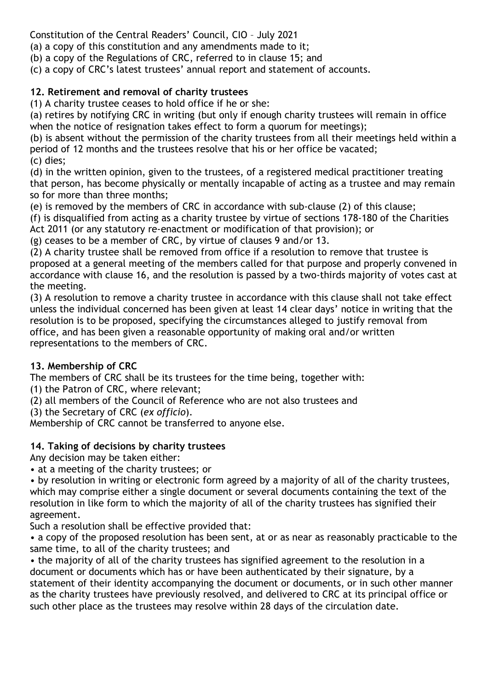(a) a copy of this constitution and any amendments made to it;

(b) a copy of the Regulations of CRC, referred to in clause 15; and

(c) a copy of CRC's latest trustees' annual report and statement of accounts.

# **12. Retirement and removal of charity trustees**

(1) A charity trustee ceases to hold office if he or she:

(a) retires by notifying CRC in writing (but only if enough charity trustees will remain in office when the notice of resignation takes effect to form a quorum for meetings);

(b) is absent without the permission of the charity trustees from all their meetings held within a period of 12 months and the trustees resolve that his or her office be vacated; (c) dies;

(d) in the written opinion, given to the trustees, of a registered medical practitioner treating that person, has become physically or mentally incapable of acting as a trustee and may remain so for more than three months;

(e) is removed by the members of CRC in accordance with sub-clause (2) of this clause;

(f) is disqualified from acting as a charity trustee by virtue of sections 178-180 of the Charities Act 2011 (or any statutory re-enactment or modification of that provision); or

(g) ceases to be a member of CRC, by virtue of clauses 9 and/or 13.

(2) A charity trustee shall be removed from office if a resolution to remove that trustee is proposed at a general meeting of the members called for that purpose and properly convened in accordance with clause 16, and the resolution is passed by a two-thirds majority of votes cast at the meeting.

(3) A resolution to remove a charity trustee in accordance with this clause shall not take effect unless the individual concerned has been given at least 14 clear days' notice in writing that the resolution is to be proposed, specifying the circumstances alleged to justify removal from office, and has been given a reasonable opportunity of making oral and/or written representations to the members of CRC.

# **13. Membership of CRC**

The members of CRC shall be its trustees for the time being, together with:

(1) the Patron of CRC, where relevant;

(2) all members of the Council of Reference who are not also trustees and

(3) the Secretary of CRC (*ex officio*).

Membership of CRC cannot be transferred to anyone else.

# **14. Taking of decisions by charity trustees**

Any decision may be taken either:

• at a meeting of the charity trustees; or

• by resolution in writing or electronic form agreed by a majority of all of the charity trustees, which may comprise either a single document or several documents containing the text of the resolution in like form to which the majority of all of the charity trustees has signified their agreement.

Such a resolution shall be effective provided that:

• a copy of the proposed resolution has been sent, at or as near as reasonably practicable to the same time, to all of the charity trustees; and

• the majority of all of the charity trustees has signified agreement to the resolution in a document or documents which has or have been authenticated by their signature, by a statement of their identity accompanying the document or documents, or in such other manner as the charity trustees have previously resolved, and delivered to CRC at its principal office or such other place as the trustees may resolve within 28 days of the circulation date.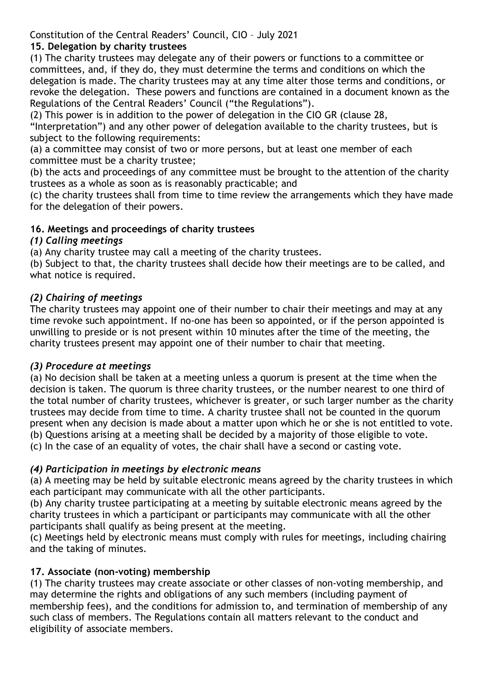#### **15. Delegation by charity trustees**

(1) The charity trustees may delegate any of their powers or functions to a committee or committees, and, if they do, they must determine the terms and conditions on which the delegation is made. The charity trustees may at any time alter those terms and conditions, or revoke the delegation. These powers and functions are contained in a document known as the Regulations of the Central Readers' Council ("the Regulations").

(2) This power is in addition to the power of delegation in the CIO GR (clause 28, "Interpretation") and any other power of delegation available to the charity trustees, but is subject to the following requirements:

(a) a committee may consist of two or more persons, but at least one member of each committee must be a charity trustee;

(b) the acts and proceedings of any committee must be brought to the attention of the charity trustees as a whole as soon as is reasonably practicable; and

(c) the charity trustees shall from time to time review the arrangements which they have made for the delegation of their powers.

#### **16. Meetings and proceedings of charity trustees**

#### *(1) Calling meetings*

(a) Any charity trustee may call a meeting of the charity trustees.

(b) Subject to that, the charity trustees shall decide how their meetings are to be called, and what notice is required.

# *(2) Chairing of meetings*

The charity trustees may appoint one of their number to chair their meetings and may at any time revoke such appointment. If no-one has been so appointed, or if the person appointed is unwilling to preside or is not present within 10 minutes after the time of the meeting, the charity trustees present may appoint one of their number to chair that meeting.

# *(3) Procedure at meetings*

(a) No decision shall be taken at a meeting unless a quorum is present at the time when the decision is taken. The quorum is three charity trustees, or the number nearest to one third of the total number of charity trustees, whichever is greater, or such larger number as the charity trustees may decide from time to time. A charity trustee shall not be counted in the quorum present when any decision is made about a matter upon which he or she is not entitled to vote. (b) Questions arising at a meeting shall be decided by a majority of those eligible to vote. (c) In the case of an equality of votes, the chair shall have a second or casting vote.

# *(4) Participation in meetings by electronic means*

(a) A meeting may be held by suitable electronic means agreed by the charity trustees in which each participant may communicate with all the other participants.

(b) Any charity trustee participating at a meeting by suitable electronic means agreed by the charity trustees in which a participant or participants may communicate with all the other participants shall qualify as being present at the meeting.

(c) Meetings held by electronic means must comply with rules for meetings, including chairing and the taking of minutes.

# **17. Associate (non-voting) membership**

(1) The charity trustees may create associate or other classes of non-voting membership, and may determine the rights and obligations of any such members (including payment of membership fees), and the conditions for admission to, and termination of membership of any such class of members. The Regulations contain all matters relevant to the conduct and eligibility of associate members.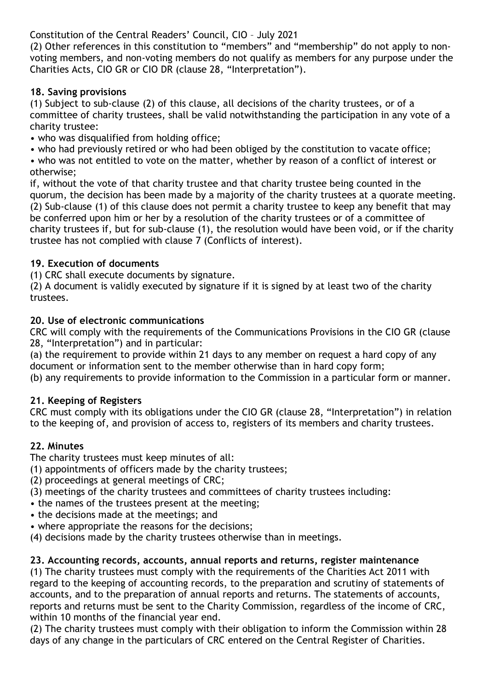(2) Other references in this constitution to "members" and "membership" do not apply to nonvoting members, and non-voting members do not qualify as members for any purpose under the Charities Acts, CIO GR or CIO DR (clause 28, "Interpretation").

#### **18. Saving provisions**

(1) Subject to sub-clause (2) of this clause, all decisions of the charity trustees, or of a committee of charity trustees, shall be valid notwithstanding the participation in any vote of a charity trustee:

• who was disqualified from holding office;

• who had previously retired or who had been obliged by the constitution to vacate office;

• who was not entitled to vote on the matter, whether by reason of a conflict of interest or otherwise;

if, without the vote of that charity trustee and that charity trustee being counted in the quorum, the decision has been made by a majority of the charity trustees at a quorate meeting. (2) Sub-clause (1) of this clause does not permit a charity trustee to keep any benefit that may be conferred upon him or her by a resolution of the charity trustees or of a committee of charity trustees if, but for sub-clause (1), the resolution would have been void, or if the charity trustee has not complied with clause 7 (Conflicts of interest).

#### **19. Execution of documents**

(1) CRC shall execute documents by signature.

(2) A document is validly executed by signature if it is signed by at least two of the charity trustees.

#### **20. Use of electronic communications**

CRC will comply with the requirements of the Communications Provisions in the CIO GR (clause 28, "Interpretation") and in particular:

(a) the requirement to provide within 21 days to any member on request a hard copy of any document or information sent to the member otherwise than in hard copy form; (b) any requirements to provide information to the Commission in a particular form or manner.

# **21. Keeping of Registers**

CRC must comply with its obligations under the CIO GR (clause 28, "Interpretation") in relation to the keeping of, and provision of access to, registers of its members and charity trustees.

# **22. Minutes**

The charity trustees must keep minutes of all:

(1) appointments of officers made by the charity trustees;

- (2) proceedings at general meetings of CRC;
- (3) meetings of the charity trustees and committees of charity trustees including:
- the names of the trustees present at the meeting;
- the decisions made at the meetings; and
- where appropriate the reasons for the decisions;

(4) decisions made by the charity trustees otherwise than in meetings.

# **23. Accounting records, accounts, annual reports and returns, register maintenance**

(1) The charity trustees must comply with the requirements of the Charities Act 2011 with regard to the keeping of accounting records, to the preparation and scrutiny of statements of accounts, and to the preparation of annual reports and returns. The statements of accounts, reports and returns must be sent to the Charity Commission, regardless of the income of CRC, within 10 months of the financial year end.

(2) The charity trustees must comply with their obligation to inform the Commission within 28 days of any change in the particulars of CRC entered on the Central Register of Charities.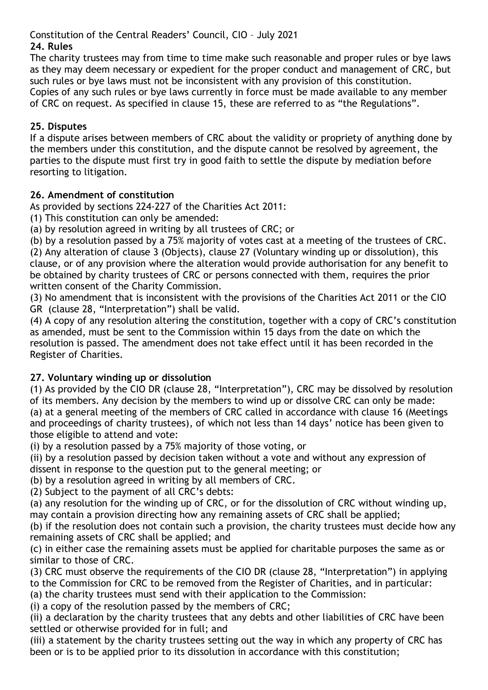Constitution of the Central Readers' Council, CIO – July 2021 **24. Rules**

The charity trustees may from time to time make such reasonable and proper rules or bye laws as they may deem necessary or expedient for the proper conduct and management of CRC, but such rules or bye laws must not be inconsistent with any provision of this constitution. Copies of any such rules or bye laws currently in force must be made available to any member of CRC on request. As specified in clause 15, these are referred to as "the Regulations".

#### **25. Disputes**

If a dispute arises between members of CRC about the validity or propriety of anything done by the members under this constitution, and the dispute cannot be resolved by agreement, the parties to the dispute must first try in good faith to settle the dispute by mediation before resorting to litigation.

#### **26. Amendment of constitution**

As provided by sections 224-227 of the Charities Act 2011:

(1) This constitution can only be amended:

(a) by resolution agreed in writing by all trustees of CRC; or

(b) by a resolution passed by a 75% majority of votes cast at a meeting of the trustees of CRC. (2) Any alteration of clause 3 (Objects), clause 27 (Voluntary winding up or dissolution), this clause, or of any provision where the alteration would provide authorisation for any benefit to be obtained by charity trustees of CRC or persons connected with them, requires the prior written consent of the Charity Commission.

(3) No amendment that is inconsistent with the provisions of the Charities Act 2011 or the CIO GR (clause 28, "Interpretation") shall be valid.

(4) A copy of any resolution altering the constitution, together with a copy of CRC's constitution as amended, must be sent to the Commission within 15 days from the date on which the resolution is passed. The amendment does not take effect until it has been recorded in the Register of Charities.

#### **27. Voluntary winding up or dissolution**

(1) As provided by the CIO DR (clause 28, "Interpretation"), CRC may be dissolved by resolution of its members. Any decision by the members to wind up or dissolve CRC can only be made: (a) at a general meeting of the members of CRC called in accordance with clause 16 (Meetings and proceedings of charity trustees), of which not less than 14 days' notice has been given to those eligible to attend and vote:

(i) by a resolution passed by a 75% majority of those voting, or

(ii) by a resolution passed by decision taken without a vote and without any expression of dissent in response to the question put to the general meeting; or

(b) by a resolution agreed in writing by all members of CRC.

(2) Subject to the payment of all CRC's debts:

(a) any resolution for the winding up of CRC, or for the dissolution of CRC without winding up, may contain a provision directing how any remaining assets of CRC shall be applied;

(b) if the resolution does not contain such a provision, the charity trustees must decide how any remaining assets of CRC shall be applied; and

(c) in either case the remaining assets must be applied for charitable purposes the same as or similar to those of CRC.

(3) CRC must observe the requirements of the CIO DR (clause 28, "Interpretation") in applying to the Commission for CRC to be removed from the Register of Charities, and in particular:

(a) the charity trustees must send with their application to the Commission:

(i) a copy of the resolution passed by the members of CRC;

(ii) a declaration by the charity trustees that any debts and other liabilities of CRC have been settled or otherwise provided for in full; and

(iii) a statement by the charity trustees setting out the way in which any property of CRC has been or is to be applied prior to its dissolution in accordance with this constitution;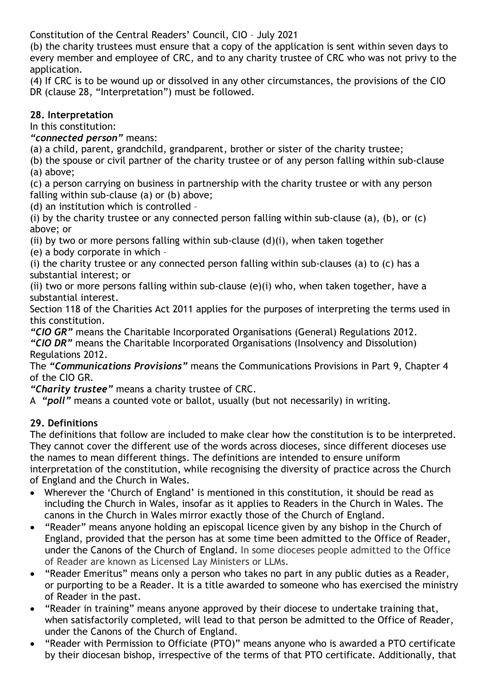(b) the charity trustees must ensure that a copy of the application is sent within seven days to every member and employee of CRC, and to any charity trustee of CRC who was not privy to the application.

(4) If CRC is to be wound up or dissolved in any other circumstances, the provisions of the CIO DR (clause 28, "Interpretation") must be followed.

# **28. Interpretation**

In this constitution:

*"connected person"* means:

(a) a child, parent, grandchild, grandparent, brother or sister of the charity trustee;

(b) the spouse or civil partner of the charity trustee or of any person falling within sub-clause (a) above;

(c) a person carrying on business in partnership with the charity trustee or with any person falling within sub-clause (a) or (b) above;

(d) an institution which is controlled –

(i) by the charity trustee or any connected person falling within sub-clause (a), (b), or (c) above; or

(ii) by two or more persons falling within sub-clause (d)(i), when taken together

(e) a body corporate in which –

(i) the charity trustee or any connected person falling within sub-clauses (a) to (c) has a substantial interest; or

(ii) two or more persons falling within sub-clause (e)(i) who, when taken together, have a substantial interest.

Section 118 of the Charities Act 2011 applies for the purposes of interpreting the terms used in this constitution.

*"CIO GR"* means the Charitable Incorporated Organisations (General) Regulations 2012. *"CIO DR"* means the Charitable Incorporated Organisations (Insolvency and Dissolution) Regulations 2012.

The *"Communications Provisions"* means the Communications Provisions in Part 9, Chapter 4 of the CIO GR.

*"Charity trustee"* means a charity trustee of CRC.

A *"poll"* means a counted vote or ballot, usually (but not necessarily) in writing.

# **29. Definitions**

The definitions that follow are included to make clear how the constitution is to be interpreted. They cannot cover the different use of the words across dioceses, since different dioceses use the names to mean different things. The definitions are intended to ensure uniform interpretation of the constitution, while recognising the diversity of practice across the Church of England and the Church in Wales.

- Wherever the 'Church of England' is mentioned in this constitution, it should be read as including the Church in Wales, insofar as it applies to Readers in the Church in Wales. The canons in the Church in Wales mirror exactly those of the Church of England.
- "Reader" means anyone holding an episcopal licence given by any bishop in the Church of England, provided that the person has at some time been admitted to the Office of Reader, under the Canons of the Church of England. In some dioceses people admitted to the Office of Reader are known as Licensed Lay Ministers or LLMs.
- "Reader Emeritus" means only a person who takes no part in any public duties as a Reader, or purporting to be a Reader. It is a title awarded to someone who has exercised the ministry of Reader in the past.
- "Reader in training" means anyone approved by their diocese to undertake training that, when satisfactorily completed, will lead to that person be admitted to the Office of Reader, under the Canons of the Church of England.
- "Reader with Permission to Officiate (PTO)" means anyone who is awarded a PTO certificate by their diocesan bishop, irrespective of the terms of that PTO certificate. Additionally, that